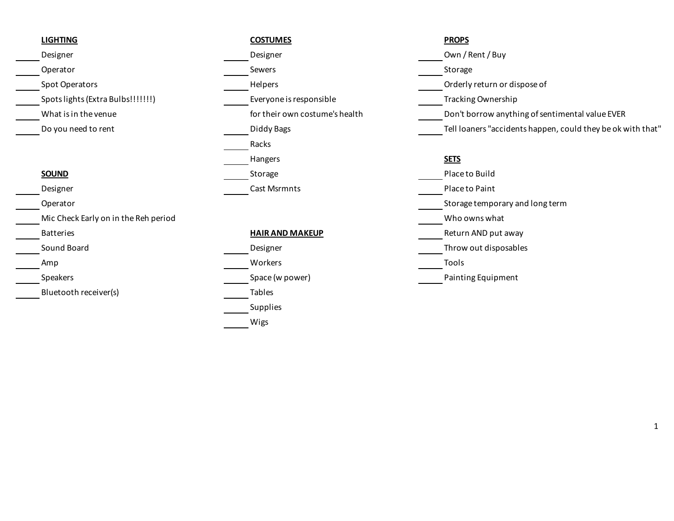- 
- 
- 

|                                      | Hange        |
|--------------------------------------|--------------|
| <b>SOUND</b>                         | Storag       |
| Designer                             | Cast M       |
| Operator                             |              |
| Mic Check Early on in the Reh period |              |
| <b>Batteries</b>                     | <u>HAIR/</u> |
| Sound Board                          | Design       |
| Amp                                  | Worke        |
| <b>Speakers</b>                      | Space        |
| Bluetooth receiver(s)                | Tables       |
|                                      |              |

| <b>LIGHTING</b>                      | <b>COSTUMES</b>                | <b>PROPS</b>                 |
|--------------------------------------|--------------------------------|------------------------------|
| Designer                             | Designer                       | Own / Rent / Buy             |
| Operator                             | Sewers                         | Storage                      |
| Spot Operators                       | Helpers                        | Orderly return or dispose of |
| Spots lights (Extra Bulbs!!!!!!!)    | Everyone is responsible        | Tracking Ownership           |
| What is in the venue                 | for their own costume's health | Don't borrow anything of set |
| Do you need to rent                  | Diddy Bags                     | Tell loaners "accidents happ |
|                                      | Racks                          |                              |
|                                      | Hangers                        | <b>SETS</b>                  |
| <b>SOUND</b>                         | Storage                        | Place to Build               |
| Designer                             | <b>Cast Msrmnts</b>            | Place to Paint               |
| Operator                             |                                | Storage temporary and long   |
| Mic Check Early on in the Reh period |                                | Who owns what                |
| <b>Batteries</b>                     | <b>HAIR AND MAKEUP</b>         | Return AND put away          |
| Sound Board                          | Designer                       | Throw out disposables        |
| Amp                                  | Workers                        | Tools                        |
| Speakers                             | Space (w power)                | Painting Equipment           |
| Bluetooth receiver(s)                | <b>Tables</b>                  |                              |
|                                      | Supplies                       |                              |
|                                      | Wigs                           |                              |

What is in the venue **the venue** for their own costume's health Don't borrow anything of sentimental value EVER Do you need to rent https://www.childdy Bags Diddy Bags Diddy Bags Tell loaners "accidents happen, could they be ok with that"

**Place to Build** Place to Paint Storage temporary and long term **Return AND put away** Throw out disposables